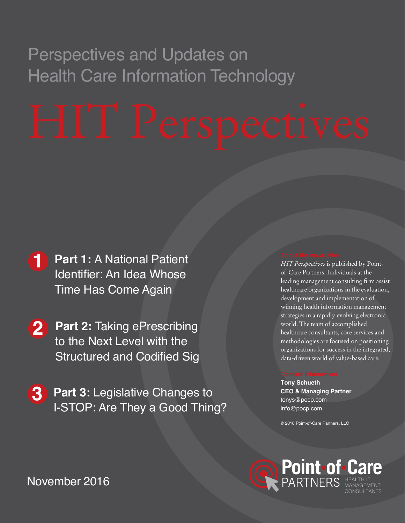# Perspectives and Updates on Health Care Information Technology

- **Part 1:** A National Patient [Identifier: An Idea Whose](#page-1-0)  Time Has Come Again **1**
- **Part 2:** Taking ePrescribing **2** to the Next Level with the [Structured and Codified Sig](#page-4-0)
- **Part 3:** Legislative Changes to [I-STOP: Are They a Good Thing?](#page-6-0)  **3**

*HIT Perspectives* is published by Pointof-Care Partners. Individuals at the leading management consulting firm assist healthcare organizations in the evaluation, development and implementation of winning health information management strategies in a rapidly evolving electronic world. The team of accomplished healthcare consultants, core services and methodologies are focused on positioning organizations for success in the integrated, data-driven world of value-based care.

**Tony Schueth CEO & Managing Partner** [tonys@pocp.com](mailto:tonys%40pocp.com?subject=) [info@pocp.com](mailto:info%40pocp.com?subject=)

© 2016 Point-of-Care Partners, LLC



November 2016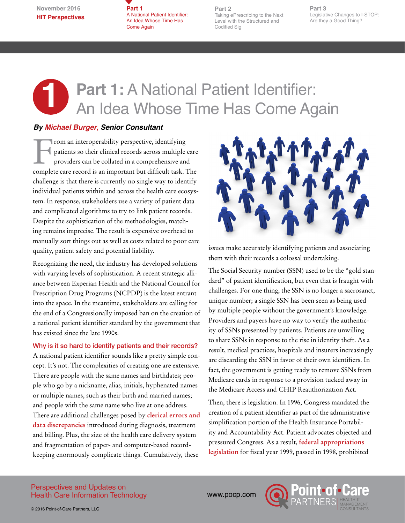**Part 1**  A National Patient Identifier: An Idea Whose Time Has Come Again

**Part 2** [Taking ePrescribing to the Next](#page-4-0)  Level with the Structured and Codified Sig

**Part 3** [Legislative Changes to I-STOP:](#page-6-0) Are they a Good Thing?

## <span id="page-1-0"></span>**1 Part 1:** A National Patient Identifier: **An Idea Whose Time Has Come Again**

### *By [Michael Burger](http://www.pocp.com/michael_burger.html), Senior Consultant*

From an interoperability perspective, identifying<br>patients so their clinical records across multiple<br>providers can be collated in a comprehensive and<br>approximate that difficult took patients so their clinical records across multiple care providers can be collated in a comprehensive and complete care record is an important but difficult task. The challenge is that there is currently no single way to identify individual patients within and across the health care ecosystem. In response, stakeholders use a variety of patient data and complicated algorithms to try to link patient records. Despite the sophistication of the methodologies, matching remains imprecise. The result is expensive overhead to manually sort things out as well as costs related to poor care quality, patient safety and potential liability.

Recognizing the need, the industry has developed solutions with varying levels of sophistication. A recent strategic alliance between Experian Health and the National Council for Prescription Drug Programs (NCPDP) is the latest entrant into the space. In the meantime, stakeholders are calling for the end of a Congressionally imposed ban on the creation of a national patient identifier standard by the government that has existed since the late 1990s.

Why is it so hard to identify patients and their records? A national patient identifier sounds like a pretty simple concept. It's not. The complexities of creating one are extensive. There are people with the same names and birthdates; people who go by a nickname, alias, initials, hyphenated names or multiple names, such as their birth and married names; and people with the same name who live at one address. There are additional challenges posed by **[clerical errors and](http://perspectives.ahima.org/why-patient-matching-is-a-challenge-research-on-master-patient-index-mpi-data-discrepancies-in-key-identifying-fields/)  data [discrepancies](http://perspectives.ahima.org/why-patient-matching-is-a-challenge-research-on-master-patient-index-mpi-data-discrepancies-in-key-identifying-fields/)** introduced during diagnosis, treatment and billing. Plus, the size of the health care delivery system and fragmentation of paper- and computer-based recordkeeping enormously complicate things. Cumulatively, these



issues make accurately identifying patients and associating them with their records a colossal undertaking.

The Social Security number (SSN) used to be the "gold standard" of patient identification, but even that is fraught with challenges. For one thing, the SSN is no longer a sacrosanct, unique number; a single SSN has been seen as being used by multiple people without the government's knowledge. Providers and payers have no way to verify the authenticity of SSNs presented by patients. Patients are unwilling to share SSNs in response to the rise in identity theft. As a result, medical practices, hospitals and insurers increasingly are discarding the SSN in favor of their own identifiers. In fact, the government is getting ready to remove SSNs from Medicare cards in response to a provision tucked away in the Medicare Access and CHIP Reauthorization Act.

Then, there is legislation. In 1996, Congress mandated the creation of a patient identifier as part of the administrative simplification portion of the Health Insurance Portability and Accountability Act. Patient advocates objected and pressured Congress. As a result, **[federal appropriations](https://www.gpo.gov/fdsys/pkg/PLAW-105publ277/html/PLAW-105publ277.htm)  [legislation](https://www.gpo.gov/fdsys/pkg/PLAW-105publ277/html/PLAW-105publ277.htm)** for fiscal year 1999, passed in 1998, prohibited

#### Perspectives and Updates on Health Care Information Technology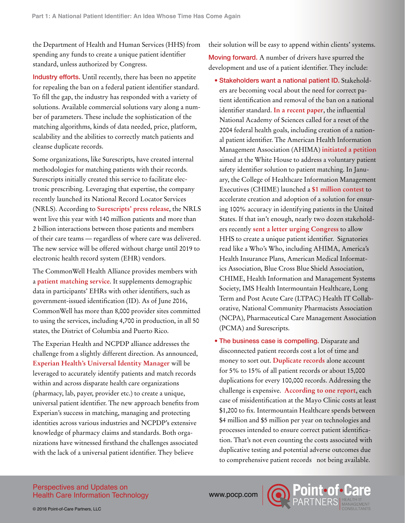the Department of Health and Human Services (HHS) from spending any funds to create a unique patient identifier standard, unless authorized by Congress.

Industry efforts. Until recently, there has been no appetite for repealing the ban on a federal patient identifier standard. To fill the gap, the industry has responded with a variety of solutions. Available commercial solutions vary along a number of parameters. These include the sophistication of the matching algorithms, kinds of data needed, price, platform, scalability and the abilities to correctly match patients and cleanse duplicate records.

Some organizations, like Surescripts, have created internal methodologies for matching patients with their records. Surescripts initially created this service to facilitate electronic prescribing. Leveraging that expertise, the company recently launched its National Record Locator Services (NRLS). According to **[Surescripts' press release](http://surescripts.com/news-center/press-releases/!content/Surescripts-Accelerates-Interoperability-to-Enable-More-Valuable-Data-Sharing-Between-Healthcare-Providers)**, the NRLS went live this year with 140 million patients and more than 2 billion interactions between those patients and members of their care teams — regardless of where care was delivered. The new service will be offered without charge until 2019 to electronic health record system (EHR) vendors.

The CommonWell Health Alliance provides members with a **[patient matching service](http://www.experian.com/healthcare/patient-identity-matching-service.html)**. It supplements demographic data in participants' EHRs with other identifiers, such as government-issued identification (ID). As of June 2016, CommonWell has more than 8,000 provider sites committed to using the services, including 4,700 in production, in all 50 states, the District of Columbia and Puerto Rico.

The Experian Health and NCPDP alliance addresses the challenge from a slightly different direction. As announced, **[Experian Health's Universal Identity Manager](http://www.experian.com/healthcare/patient-identity-matching-service.html)** will be leveraged to accurately identify patients and match records within and across disparate health care organizations (pharmacy, lab, payer, provider etc.) to create a unique, universal patient identifier. The new approach benefits from Experian's success in matching, managing and protecting identities across various industries and NCPDP's extensive knowledge of pharmacy claims and standards. Both organizations have witnessed firsthand the challenges associated with the lack of a universal patient identifier. They believe

their solution will be easy to append within clients' systems.

Moving forward. A number of drivers have spurred the development and use of a patient identifier. They include:

- Stakeholders want a national patient ID. Stakeholders are becoming vocal about the need for correct patient identification and removal of the ban on a national identifier standard. **[In a recent paper](https://nam.edu/information-technology-interoperability-and-use-for-better-care-and-evidence-a-vital-direction-for-health-and-health-care/)**, the influential National Academy of Sciences called for a reset of the 2004 federal health goals, including creation of a national patient identifier. The American Health Information Management Association (AHIMA) **[initiated a petition](http://www.ahima.org/myhealthid)** aimed at the White House to address a voluntary patient safety identifier solution to patient matching. In January, the College of Healthcare Information Management Executives (CHIME) launched a **[\\$1 million contest](http://hitconsultant.net/2016/01/19/31405/)** to accelerate creation and adoption of a solution for ensuring 100% accuracy in identifying patients in the United States. If that isn't enough, nearly two dozen stakeholders recently **[sent a letter urging Congress](http://r.smartbrief.com/resp/ivxXCjyqjOCWuqzqCidmtwCicNlrFs)** to allow HHS to create a unique patient identifier. Signatories read like a Who's Who, including AHIMA, America's Health Insurance Plans, American Medical Informatics Association, Blue Cross Blue Shield Association, CHIME, Health Information and Management Systems Society, IMS Health Intermountain Healthcare, Long Term and Post Acute Care (LTPAC) Health IT Collaborative, National Community Pharmacists Association (NCPA), Pharmaceutical Care Management Association (PCMA) and Surescripts.
- The business case is compelling. Disparate and disconnected patient records cost a lot of time and money to sort out. **[Duplicate records](http://www.himssconference.org/sites/himssconference/files/pdf/99.pdf)** alone account for 5% to 15% of all patient records or about 15,000 duplications for every 100,000 records. Addressing the challenge is expensive. **[According to one report](https://www.healthit.gov/sites/default/files/patient_identification_matching_final_report.pdf)**, each case of misidentification at the Mayo Clinic costs at least \$1,200 to fix. Intermountain Healthcare spends between \$4 million and \$5 million per year on technologies and processes intended to ensure correct patient identification. That's not even counting the costs associated with duplicative testing and potential adverse outcomes due to comprehensive patient records not being available.

#### Perspectives and Updates on Health Care Information Technology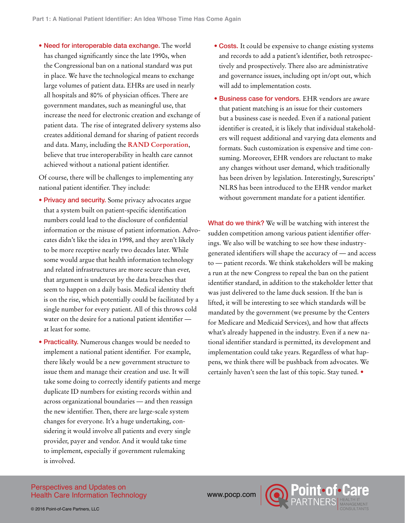• Need for interoperable data exchange. The world has changed significantly since the late 1990s, when the Congressional ban on a national standard was put in place. We have the technological means to exchange large volumes of patient data. EHRs are used in nearly all hospitals and 80% of physician offices. There are government mandates, such as meaningful use, that increase the need for electronic creation and exchange of patient data. The rise of integrated delivery systems also creates additional demand for sharing of patient records and data. Many, including the **[RAND Corporation](http://www.rand.org/pubs/monographs/MG753.html)**, believe that true interoperability in health care cannot achieved without a national patient identifier.

Of course, there will be challenges to implementing any national patient identifier. They include:

- Privacy and security. Some privacy advocates argue that a system built on patient-specific identification numbers could lead to the disclosure of confidential information or the misuse of patient information. Advocates didn't like the idea in 1998, and they aren't likely to be more receptive nearly two decades later. While some would argue that health information technology and related infrastructures are more secure than ever, that argument is undercut by the data breaches that seem to happen on a daily basis. Medical identity theft is on the rise, which potentially could be facilitated by a single number for every patient. All of this throws cold water on the desire for a national patient identifier at least for some.
- **Practicality.** Numerous changes would be needed to implement a national patient identifier. For example, there likely would be a new government structure to issue them and manage their creation and use. It will take some doing to correctly identify patients and merge duplicate ID numbers for existing records within and across organizational boundaries — and then reassign the new identifier. Then, there are large-scale system changes for everyone. It's a huge undertaking, considering it would involve all patients and every single provider, payer and vendor. And it would take time to implement, especially if government rulemaking is involved.
- Costs. It could be expensive to change existing systems and records to add a patient's identifier, both retrospectively and prospectively. There also are administrative and governance issues, including opt in/opt out, which will add to implementation costs.
- Business case for vendors. EHR vendors are aware that patient matching is an issue for their customers but a business case is needed. Even if a national patient identifier is created, it is likely that individual stakeholders will request additional and varying data elements and formats. Such customization is expensive and time consuming. Moreover, EHR vendors are reluctant to make any changes without user demand, which traditionally has been driven by legislation. Interestingly, Surescripts' NLRS has been introduced to the EHR vendor market without government mandate for a patient identifier.

What do we think? We will be watching with interest the sudden competition among various patient identifier offerings. We also will be watching to see how these industrygenerated identifiers will shape the accuracy of — and access to — patient records. We think stakeholders will be making a run at the new Congress to repeal the ban on the patient identifier standard, in addition to the stakeholder letter that was just delivered to the lame duck session. If the ban is lifted, it will be interesting to see which standards will be mandated by the government (we presume by the Centers for Medicare and Medicaid Services), and how that affects what's already happened in the industry. Even if a new national identifier standard is permitted, its development and implementation could take years. Regardless of what happens, we think there will be pushback from advocates. We certainly haven't seen the last of this topic. Stay tuned. •

#### Perspectives and Updates on Health Care Information Technology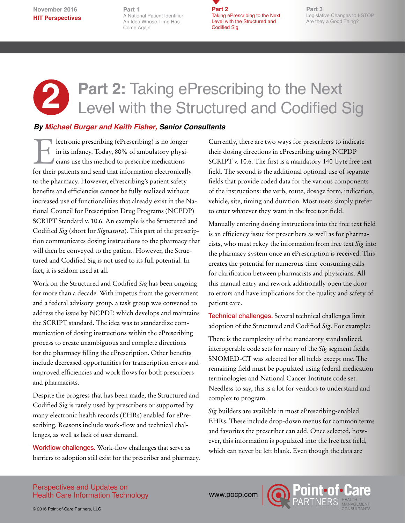<span id="page-4-0"></span>**November 2016 HIT Perspectives**

**[Part 1](#page-1-0)** [A National Patient Identifier:](#page-1-0) [An Idea Whose Time Has](#page-1-0)  [Come Again](#page-1-0)

**Part 2** Taking ePrescribing to the Next Level with the Structured and Codified Sig

**Part 3** [Legislative Changes to I-STOP:](#page-6-0) Are they a Good Thing?

## Part 2: Taking ePrescribing to the Next Level with the Structured and Codified Sig **2**

### *By Michael Burger and Keith Fisher, Senior Consultants*

Electronic prescribing (ePrescribing) is no longer<br>in its infancy. Today, 80% of ambulatory physicians use this method to prescribe medications<br>for their nations and send that information electronically in its infancy. Today, 80% of ambulatory physicians use this method to prescribe medications for their patients and send that information electronically to the pharmacy. However, ePrescribing's patient safety benefits and efficiencies cannot be fully realized without increased use of functionalities that already exist in the National Council for Prescription Drug Programs (NCPDP) SCRIPT Standard v. 10.6. An example is the Structured and Codified *Sig* (short for *Signatura*). This part of the prescription communicates dosing instructions to the pharmacy that will then be conveyed to the patient. However, the Structured and Codified Sig is not used to its full potential. In fact, it is seldom used at all.

Work on the Structured and Codified *Sig* has been ongoing for more than a decade. With impetus from the government and a federal advisory group, a task group was convened to address the issue by NCPDP, which develops and maintains the SCRIPT standard. The idea was to standardize communication of dosing instructions within the ePrescribing process to create unambiguous and complete directions for the pharmacy filling the ePrescription. Other benefits include decreased opportunities for transcription errors and improved efficiencies and work flows for both prescribers and pharmacists.

Despite the progress that has been made, the Structured and Codified Sig is rarely used by prescribers or supported by many electronic health records (EHRs) enabled for ePrescribing. Reasons include work-flow and technical challenges, as well as lack of user demand.

Workflow challenges. Work-flow challenges that serve as barriers to adoption still exist for the prescriber and pharmacy. Currently, there are two ways for prescribers to indicate their dosing directions in ePrescribing using NCPDP SCRIPT v. 10.6. The first is a mandatory 140-byte free text field. The second is the additional optional use of separate fields that provide coded data for the various components of the instructions: the verb, route, dosage form, indication, vehicle, site, timing and duration. Most users simply prefer to enter whatever they want in the free text field.

Manually entering dosing instructions into the free text field is an efficiency issue for prescribers as well as for pharmacists, who must rekey the information from free text *Sig* into the pharmacy system once an ePrescription is received. This creates the potential for numerous time-consuming calls for clarification between pharmacists and physicians. All this manual entry and rework additionally open the door to errors and have implications for the quality and safety of patient care.

Technical challenges. Several technical challenges limit adoption of the Structured and Codified *Sig*. For example:

There is the complexity of the mandatory standardized, interoperable code sets for many of the *Sig* segment fields. SNOMED-CT was selected for all fields except one. The remaining field must be populated using federal medication terminologies and National Cancer Institute code set. Needless to say, this is a lot for vendors to understand and complex to program.

*Sig* builders are available in most ePrescribing-enabled EHRs. These include drop-down menus for common terms and favorites the prescriber can add. Once selected, however, this information is populated into the free text field, which can never be left blank. Even though the data are

Perspectives and Updates on Health Care Information Technology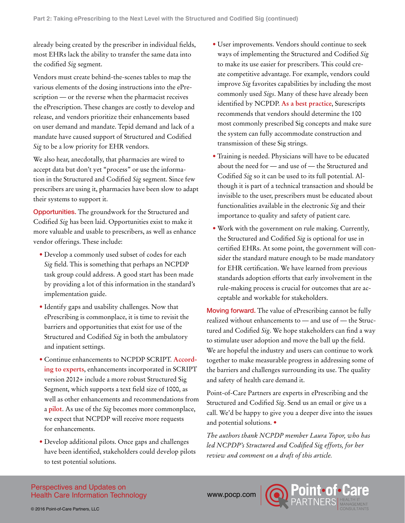already being created by the prescriber in individual fields, most EHRs lack the ability to transfer the same data into the codified *Sig* segment.

Vendors must create behind-the-scenes tables to map the various elements of the dosing instructions into the ePrescription — or the reverse when the pharmacist receives the ePrescription. These changes are costly to develop and release, and vendors prioritize their enhancements based on user demand and mandate. Tepid demand and lack of a mandate have caused support of Structured and Codified *Sig* to be a low priority for EHR vendors.

We also hear, anecdotally, that pharmacies are wired to accept data but don't yet "process" or use the information in the Structured and Codified *Sig* segment. Since few prescribers are using it, pharmacies have been slow to adapt their systems to support it.

Opportunities. The groundwork for the Structured and Codified *Sig* has been laid. Opportunities exist to make it more valuable and usable to prescribers, as well as enhance vendor offerings. These include:

- Develop a commonly used subset of codes for each *Sig* field. This is something that perhaps an NCPDP task group could address. A good start has been made by providing a lot of this information in the standard's implementation guide.
- Identify gaps and usability challenges. Now that ePrescribing is commonplace, it is time to revisit the barriers and opportunities that exist for use of the Structured and Codified *Sig* in both the ambulatory and inpatient settings.
- Continue enhancements to NCPDP SCRIPT. **[Accord](http://geekdoctor.blogspot.com/2014/07/theres-more-to-eprescribing-standards.html)[ing to experts](http://geekdoctor.blogspot.com/2014/07/theres-more-to-eprescribing-standards.html)**, enhancements incorporated in SCRIPT version 2012+ include a more robust Structured Sig Segment, which supports a text field size of 1000, as well as other enhancements and recommendations from a **[pilot](https://www.ncbi.nlm.nih.gov/pmc/articles/PMC3168301/)**. As use of the *Sig* becomes more commonplace, we expect that NCPDP will receive more requests for enhancements.
- Develop additional pilots. Once gaps and challenges have been identified, stakeholders could develop pilots to test potential solutions.
- User improvements. Vendors should continue to seek ways of implementing the Structured and Codified *Sig* to make its use easier for prescribers. This could create competitive advantage. For example, vendors could improve *Sig* favorites capabilities by including the most commonly used *Sigs*. Many of these have already been identified by NCPDP. **[As a best practice](http://surescripts.com/docs/default-source/Resources/quality_e-prescription_guidelines_surescripts.pdf)**, Surescripts recommends that vendors should determine the 100 most commonly prescribed Sig concepts and make sure the system can fully accommodate construction and transmission of these Sig strings.
- Training is needed. Physicians will have to be educated about the need for — and use of — the Structured and Codified *Sig* so it can be used to its full potential. Although it is part of a technical transaction and should be invisible to the user, prescribers must be educated about functionalities available in the electronic *Sig* and their importance to quality and safety of patient care.
- Work with the government on rule making. Currently, the Structured and Codified *Sig* is optional for use in certified EHRs. At some point, the government will consider the standard mature enough to be made mandatory for EHR certification. We have learned from previous standards adoption efforts that early involvement in the rule-making process is crucial for outcomes that are acceptable and workable for stakeholders.

Moving forward. The value of ePrescribing cannot be fully realized without enhancements to — and use of — the Structured and Codified *Sig*. We hope stakeholders can find a way to stimulate user adoption and move the ball up the field. We are hopeful the industry and users can continue to work together to make measurable progress in addressing some of the barriers and challenges surrounding its use. The quality and safety of health care demand it.

Point-of-Care Partners are experts in ePrescribing and the Structured and Codified *Sig*. Send us an email or give us a call. We'd be happy to give you a deeper dive into the issues and potential solutions. •

*The authors thank NCPDP member Laura Topor, who has led NCPDP's Structured and Codified Sig efforts, for her review and comment on a draft of this article.*

Perspectives and Updates on Health Care Information Technology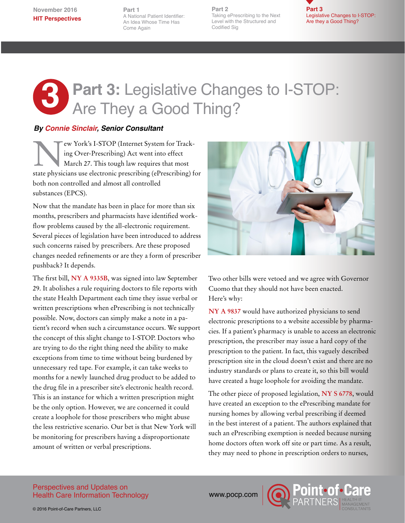<span id="page-6-0"></span>**November 2016 HIT Perspectives**

**Part 1**  [A National Patient Identifier:](#page-1-0) An Idea Whose Time Has Come Again

**Part 2** [Taking ePrescribing to the Next](#page-4-0) Level with the Structured and Codified Sig



## **3** Part 3: Legislative Changes to I-STOP: Are They a Good Thing?

### *By Connie Sinclair, Senior Consultant*

'ew York's I-STOP (Internet System for Tracking Over-Prescribing) Act went into effect March 27. This tough law requires that most state physicians use electronic prescribing (ePrescribing) for both non controlled and almost all controlled substances (EPCS).

Now that the mandate has been in place for more than six months, prescribers and pharmacists have identified workflow problems caused by the all-electronic requirement. Several pieces of legislation have been introduced to address such concerns raised by prescribers. Are these proposed changes needed refinements or are they a form of prescriber pushback? It depends.

The first bill, **[NY A 9335B](https://www.nysenate.gov/legislation/bills/2015/a9335/amendment/b)**, was signed into law September 29. It abolishes a rule requiring doctors to file reports with the state Health Department each time they issue verbal or written prescriptions when ePrescribing is not technically possible. Now, doctors can simply make a note in a patient's record when such a circumstance occurs. We support the concept of this slight change to I-STOP. Doctors who are trying to do the right thing need the ability to make exceptions from time to time without being burdened by unnecessary red tape. For example, it can take weeks to months for a newly launched drug product to be added to the drug file in a prescriber site's electronic health record. This is an instance for which a written prescription might be the only option. However, we are concerned it could create a loophole for those prescribers who might abuse the less restrictive scenario. Our bet is that New York will be monitoring for prescribers having a disproportionate amount of written or verbal prescriptions.



Two other bills were vetoed and we agree with Governor Cuomo that they should not have been enacted. Here's why:

**[NY A 9837](https://www.nysenate.gov/legislation/bills/2015/A9837)** would have authorized physicians to send electronic prescriptions to a website accessible by pharmacies. If a patient's pharmacy is unable to access an electronic prescription, the prescriber may issue a hard copy of the prescription to the patient. In fact, this vaguely described prescription site in the cloud doesn't exist and there are no industry standards or plans to create it, so this bill would have created a huge loophole for avoiding the mandate.

The other piece of proposed legislation, **[NY S 6778](https://www.nysenate.gov/legislation/bills/2015/s6778)**, would have created an exception to the ePrescribing mandate for nursing homes by allowing verbal prescribing if deemed in the best interest of a patient. The authors explained that such an ePrescribing exemption is needed because nursing home doctors often work off site or part time. As a result, they may need to phone in prescription orders to nurses,

#### Perspectives and Updates on Health Care Information Technology